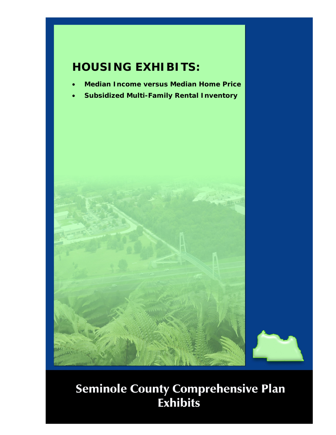## **HOUSING EXHIBITS:**

- **Median Income versus Median Home Price**
- **Subsidized Multi-Family Rental Inventory**

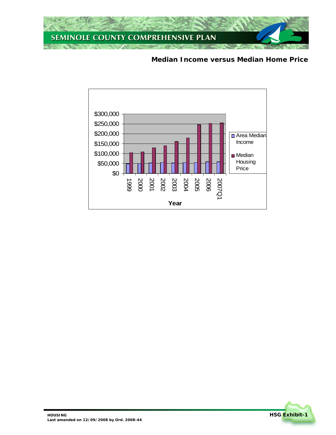

**Median Income versus Median Home Price** 



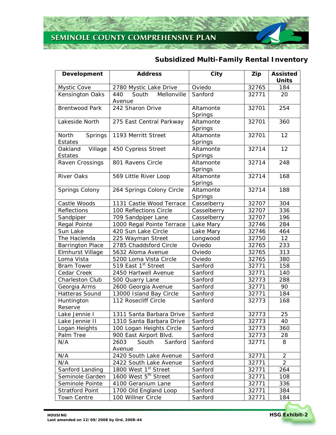## SEMINOLE COUNTY COMPREHENSIVE PLAN

## **Subsidized Multi-Family Rental Inventory**

| Development             | <b>Address</b>                   | City                   | Zip   | <b>Assisted</b><br><b>Units</b> |
|-------------------------|----------------------------------|------------------------|-------|---------------------------------|
| Mystic Cove             | 2780 Mystic Lake Drive           | Oviedo                 | 32765 | 184                             |
| Kensington Oaks         | Mellonville<br>440<br>South      | Sanford                | 32771 | 20                              |
|                         | Avenue                           |                        |       |                                 |
| <b>Brentwood Park</b>   | 242 Sharon Drive                 | Altamonte              | 32701 | 254                             |
|                         |                                  | Springs                |       |                                 |
| Lakeside North          | 275 East Central Parkway         | Altamonte              | 32701 | 360                             |
|                         |                                  | Springs                |       |                                 |
| North<br>Springs        | 1193 Merritt Street              | Altamonte              | 32701 | 12                              |
| Estates                 |                                  | Springs                |       |                                 |
| Oakland<br>Village      | 450 Cypress Street               | Altamonte              | 32714 | 12                              |
| <b>Estates</b>          |                                  | Springs                |       |                                 |
| Raven Crossings         | 801 Ravens Circle                | Altamonte              | 32714 | 248                             |
|                         |                                  | Springs                |       |                                 |
| <b>River Oaks</b>       | 569 Little River Loop            | Altamonte              | 32714 | 168                             |
|                         |                                  | Springs                | 32714 |                                 |
| Springs Colony          | 264 Springs Colony Circle        | Altamonte              |       | 188                             |
| Castle Woods            | 1131 Castle Wood Terrace         | Springs<br>Casselberry | 32707 | 304                             |
| Reflections             | 100 Reflections Circle           | Casselberry            | 32707 | 336                             |
| Sandpiper               | 709 Sandpiper Lane               | Casselberry            | 32707 | 196                             |
| Regal Pointe            | 1000 Regal Pointe Terrace        | Lake Mary              | 32746 | 284                             |
| Sun Lake                | 420 Sun Lake Circle              | Lake Mary              | 32746 | 464                             |
| The Hacienda            | 225 Wayman Street                | Longwood               | 32750 | 12                              |
| <b>Barrington Place</b> | 2785 Chaddsford Circle           | Oviedo                 | 32765 | 233                             |
| Elmhurst Village        | 5632 Aloma Avenue                | Oviedo                 | 32765 | 313                             |
| Loma Vista              | 5200 Loma Vista Circle           | Oviedo                 | 32765 | 380                             |
| <b>Bram Tower</b>       | 519 East 1st Street              | Sanford                | 32771 | 158                             |
| Cedar Creek             | 2450 Hartwell Avenue             | Sanford                | 32771 | 140                             |
| Charleston Club         | 500 Quarry Lane                  | Sanford                | 32773 | 288                             |
| Georgia Arms            | 2600 Georgia Avenue              | Sanford                | 32771 | 90                              |
| Hatteras Sound          | 13000 Island Bay Circle          | Sanford                | 32771 | 184                             |
| Huntington              | 112 Rosecliff Circle             | Sanford                | 32773 | 168                             |
| Reserve                 |                                  |                        |       |                                 |
| Lake Jennie I           | 1311 Santa Barbara Drive         | Sanford                | 32773 | 25                              |
| Lake Jennie II          | 1310 Santa Barbara Drive         | Sanford                | 32773 | 40                              |
| Logan Heights           | 100 Logan Heights Circle         | Sanford                | 32773 | 360                             |
| Palm Tree               | 900 East Airport Blvd.           | Sanford                | 32773 | 28                              |
| N/A                     | South<br>Sanford<br>2603         | Sanford                | 32771 | 8                               |
|                         | Avenue                           |                        |       |                                 |
| N/A                     | 2420 South Lake Avenue           | Sanford                | 32771 | $\overline{2}$                  |
| N/A                     | 2422 South Lake Avenue           | Sanford                | 32771 | $\overline{2}$                  |
| Sanford Landing         | 1800 West 1st Street             | Sanford                | 32771 | 264                             |
| Seminole Garden         | 1600 West 5 <sup>th</sup> Street | Sanford                | 32771 | 108                             |
| Seminole Pointe         | 4100 Geranium Lane               | Sanford                | 32771 | 336                             |
| <b>Stratford Point</b>  | 1700 Old England Loop            | Sanford                | 32771 | 384                             |
| <b>Town Centre</b>      | 100 Willner Circle               | Sanford                | 32771 | 184                             |